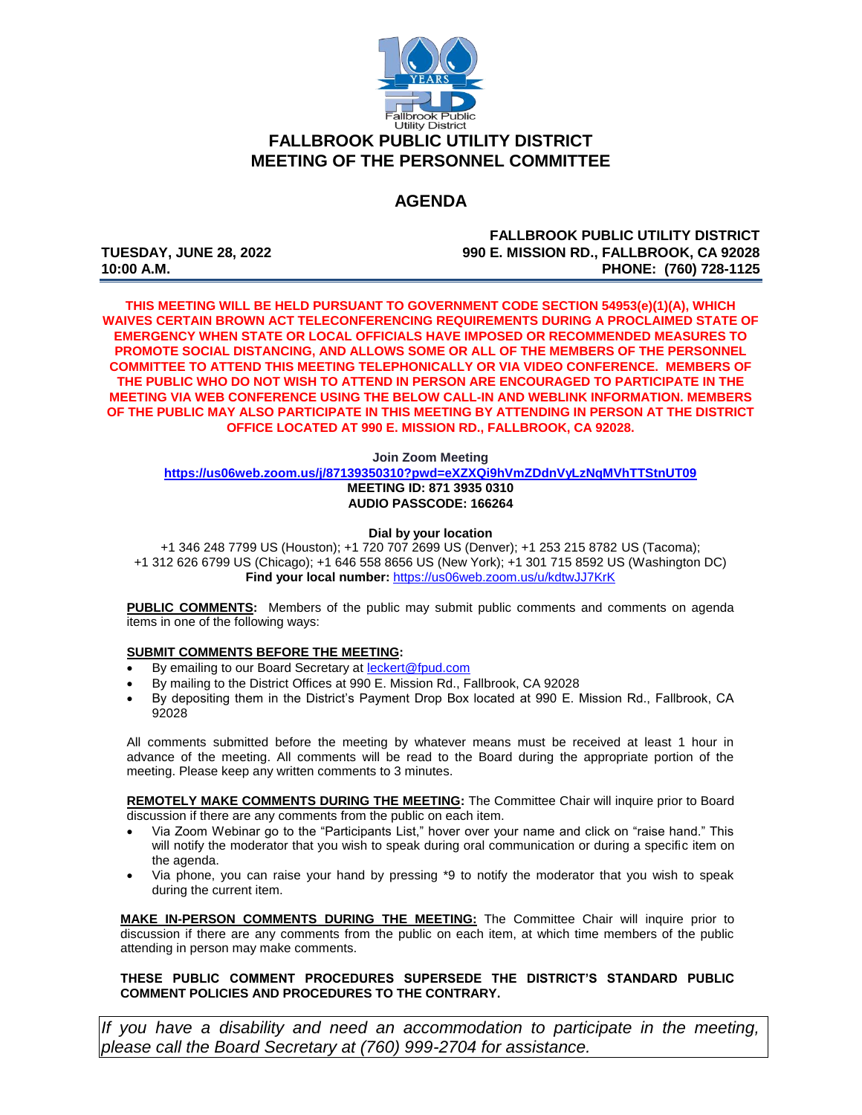

# **FALLBROOK PUBLIC UTILITY DISTRICT MEETING OF THE PERSONNEL COMMITTEE**

# **AGENDA**

**FALLBROOK PUBLIC UTILITY DISTRICT TUESDAY, JUNE 28, 2022 990 E. MISSION RD., FALLBROOK, CA 92028 10:00 A.M. PHONE: (760) 728-1125**

**THIS MEETING WILL BE HELD PURSUANT TO GOVERNMENT CODE SECTION 54953(e)(1)(A), WHICH WAIVES CERTAIN BROWN ACT TELECONFERENCING REQUIREMENTS DURING A PROCLAIMED STATE OF EMERGENCY WHEN STATE OR LOCAL OFFICIALS HAVE IMPOSED OR RECOMMENDED MEASURES TO PROMOTE SOCIAL DISTANCING, AND ALLOWS SOME OR ALL OF THE MEMBERS OF THE PERSONNEL COMMITTEE TO ATTEND THIS MEETING TELEPHONICALLY OR VIA VIDEO CONFERENCE. MEMBERS OF THE PUBLIC WHO DO NOT WISH TO ATTEND IN PERSON ARE ENCOURAGED TO PARTICIPATE IN THE MEETING VIA WEB CONFERENCE USING THE BELOW CALL-IN AND WEBLINK INFORMATION. MEMBERS OF THE PUBLIC MAY ALSO PARTICIPATE IN THIS MEETING BY ATTENDING IN PERSON AT THE DISTRICT OFFICE LOCATED AT 990 E. MISSION RD., FALLBROOK, CA 92028.**

**Join Zoom Meeting**

**<https://us06web.zoom.us/j/87139350310?pwd=eXZXQi9hVmZDdnVyLzNqMVhTTStnUT09> MEETING ID: 871 3935 0310 AUDIO PASSCODE: 166264**

#### **Dial by your location**

+1 346 248 7799 US (Houston); +1 720 707 2699 US (Denver); +1 253 215 8782 US (Tacoma); +1 312 626 6799 US (Chicago); +1 646 558 8656 US (New York); +1 301 715 8592 US (Washington DC) **Find your local number:** <https://us06web.zoom.us/u/kdtwJJ7KrK>

**PUBLIC COMMENTS:** Members of the public may submit public comments and comments on agenda items in one of the following ways:

#### **SUBMIT COMMENTS BEFORE THE MEETING:**

- By emailing to our Board Secretary at [leckert@fpud.com](mailto:leckert@fpud.com)
- By mailing to the District Offices at 990 E. Mission Rd., Fallbrook, CA 92028
- By depositing them in the District's Payment Drop Box located at 990 E. Mission Rd., Fallbrook, CA 92028

All comments submitted before the meeting by whatever means must be received at least 1 hour in advance of the meeting. All comments will be read to the Board during the appropriate portion of the meeting. Please keep any written comments to 3 minutes.

**REMOTELY MAKE COMMENTS DURING THE MEETING:** The Committee Chair will inquire prior to Board discussion if there are any comments from the public on each item.

- Via Zoom Webinar go to the "Participants List," hover over your name and click on "raise hand." This will notify the moderator that you wish to speak during oral communication or during a specific item on the agenda.
- Via phone, you can raise your hand by pressing \*9 to notify the moderator that you wish to speak during the current item.

**MAKE IN-PERSON COMMENTS DURING THE MEETING:** The Committee Chair will inquire prior to discussion if there are any comments from the public on each item, at which time members of the public attending in person may make comments.

#### **THESE PUBLIC COMMENT PROCEDURES SUPERSEDE THE DISTRICT'S STANDARD PUBLIC COMMENT POLICIES AND PROCEDURES TO THE CONTRARY.**

*If you have a disability and need an accommodation to participate in the meeting, please call the Board Secretary at (760) 999-2704 for assistance.*